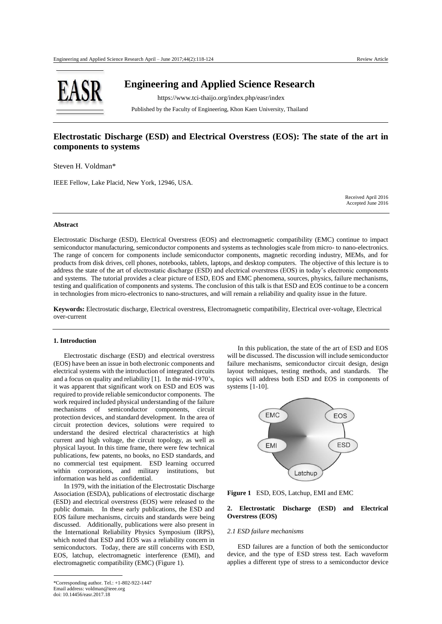

 **Engineering and Applied Science Research**

 https://www.tci-thaijo.org/index.php/easr/index Published by the Faculty of Engineering, Khon Kaen University, Thailand

# **Electrostatic Discharge (ESD) and Electrical Overstress (EOS): The state of the art in components to systems**

Steven H. Voldman\*

IEEE Fellow, Lake Placid, New York, 12946, USA.

Received April 2016 Accepted June 2016

# **Abstract**

Electrostatic Discharge (ESD), Electrical Overstress (EOS) and electromagnetic compatibility (EMC) continue to impact semiconductor manufacturing, semiconductor components and systems as technologies scale from micro- to nano-electronics. The range of concern for components include semiconductor components, magnetic recording industry, MEMs, and for products from disk drives, cell phones, notebooks, tablets, laptops, and desktop computers. The objective of this lecture is to address the state of the art of electrostatic discharge (ESD) and electrical overstress (EOS) in today's electronic components and systems. The tutorial provides a clear picture of ESD, EOS and EMC phenomena, sources, physics, failure mechanisms, testing and qualification of components and systems. The conclusion of this talk is that ESD and EOS continue to be a concern in technologies from micro-electronics to nano-structures, and will remain a reliability and quality issue in the future.

**Keywords:** Electrostatic discharge, Electrical overstress, Electromagnetic compatibility, Electrical over-voltage, Electrical over-current

### **1. Introduction**

Electrostatic discharge (ESD) and electrical overstress (EOS) have been an issue in both electronic components and electrical systems with the introduction of integrated circuits and a focus on quality and reliability [1]. In the mid-1970's, it was apparent that significant work on ESD and EOS was required to provide reliable semiconductor components. The work required included physical understanding of the failure mechanisms of semiconductor components, circuit protection devices, and standard development. In the area of circuit protection devices, solutions were required to understand the desired electrical characteristics at high current and high voltage, the circuit topology, as well as physical layout. In this time frame, there were few technical publications, few patents, no books, no ESD standards, and no commercial test equipment. ESD learning occurred within corporations, and military institutions, but information was held as confidential.

In 1979, with the initiation of the Electrostatic Discharge Association (ESDA), publications of electrostatic discharge (ESD) and electrical overstress (EOS) were released to the public domain. In these early publications, the ESD and EOS failure mechanisms, circuits and standards were being discussed. Additionally, publications were also present in the International Reliability Physics Symposium (IRPS), which noted that ESD and EOS was a reliability concern in semiconductors. Today, there are still concerns with ESD, EOS, latchup, electromagnetic interference (EMI), and electromagnetic compatibility (EMC) (Figure 1).

In this publication, the state of the art of ESD and EOS will be discussed. The discussion will include semiconductor failure mechanisms, semiconductor circuit design, design layout techniques, testing methods, and standards. The topics will address both ESD and EOS in components of systems [1-10].



**Figure 1** ESD, EOS, Latchup, EMI and EMC

### **2. Electrostatic Discharge (ESD) and Electrical Overstress (EOS)**

#### *2.1 ESD failure mechanisms*

 ESD failures are a function of both the semiconductor device, and the type of ESD stress test. Each waveform applies a different type of stress to a semiconductor device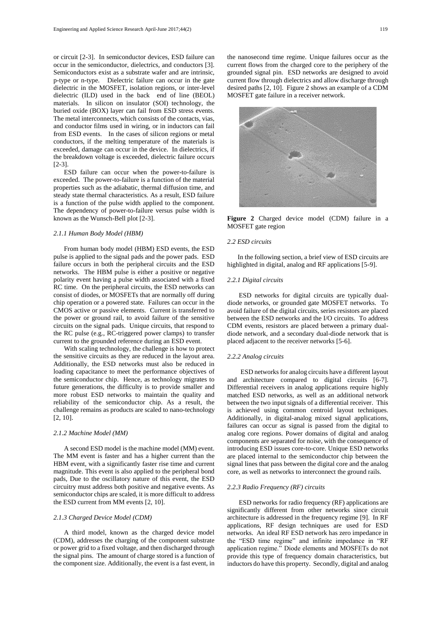or circuit [2-3]. In semiconductor devices, ESD failure can occur in the semiconductor, dielectrics, and conductors [3]. Semiconductors exist as a substrate wafer and are intrinsic, p-type or n-type. Dielectric failure can occur in the gate dielectric in the MOSFET, isolation regions, or inter-level dielectric (ILD) used in the back end of line (BEOL) materials. In silicon on insulator (SOI) technology, the buried oxide (BOX) layer can fail from ESD stress events. The metal interconnects, which consists of the contacts, vias, and conductor films used in wiring, or in inductors can fail from ESD events. In the cases of silicon regions or metal conductors, if the melting temperature of the materials is exceeded, damage can occur in the device. In dielectrics, if the breakdown voltage is exceeded, dielectric failure occurs [2-3].

ESD failure can occur when the power-to-failure is exceeded. The power-to-failure is a function of the material properties such as the adiabatic, thermal diffusion time, and steady state thermal characteristics. As a result, ESD failure is a function of the pulse width applied to the component. The dependency of power-to-failure versus pulse width is known as the Wunsch-Bell plot [2-3].

#### *2.1.1 Human Body Model (HBM)*

 From human body model (HBM) ESD events, the ESD pulse is applied to the signal pads and the power pads. ESD failure occurs in both the peripheral circuits and the ESD networks. The HBM pulse is either a positive or negative polarity event having a pulse width associated with a fixed RC time. On the peripheral circuits, the ESD networks can consist of diodes, or MOSFETs that are normally off during chip operation or a powered state. Failures can occur in the CMOS active or passive elements. Current is transferred to the power or ground rail, to avoid failure of the sensitive circuits on the signal pads. Unique circuits, that respond to the RC pulse (e.g., RC-triggered power clamps) to transfer current to the grounded reference during an ESD event.

 With scaling technology, the challenge is how to protect the sensitive circuits as they are reduced in the layout area. Additionally, the ESD networks must also be reduced in loading capacitance to meet the performance objectives of the semiconductor chip. Hence, as technology migrates to future generations, the difficulty is to provide smaller and more robust ESD networks to maintain the quality and reliability of the semiconductor chip. As a result, the challenge remains as products are scaled to nano-technology [2, 10].

### *2.1.2 Machine Model (MM)*

A second ESD model is the machine model (MM) event. The MM event is faster and has a higher current than the HBM event, with a significantly faster rise time and current magnitude. This event is also applied to the peripheral bond pads, Due to the oscillatory nature of this event, the ESD circuitry must address both positive and negative events. As semiconductor chips are scaled, it is more difficult to address the ESD current from MM events [2, 10].

#### *2.1.3 Charged Device Model (CDM)*

A third model, known as the charged device model (CDM), addresses the charging of the component substrate or power grid to a fixed voltage, and then discharged through the signal pins. The amount of charge stored is a function of the component size. Additionally, the event is a fast event, in the nanosecond time regime. Unique failures occur as the current flows from the charged core to the periphery of the grounded signal pin. ESD networks are designed to avoid current flow through dielectrics and allow discharge through desired paths [2, 10]. Figure 2 shows an example of a CDM MOSFET gate failure in a receiver network.



**Figure 2** Charged device model (CDM) failure in a MOSFET gate region

## *2.2 ESD circuits*

 In the following section, a brief view of ESD circuits are highlighted in digital, analog and RF applications [5-9].

### *2.2.1 Digital circuits*

 ESD networks for digital circuits are typically dualdiode networks, or grounded gate MOSFET networks. To avoid failure of the digital circuits, series resistors are placed between the ESD networks and the I/O circuits. To address CDM events, resistors are placed between a primary dualdiode network, and a secondary dual-diode network that is placed adjacent to the receiver networks [5-6].

#### *2.2.2 Analog circuits*

 ESD networks for analog circuits have a different layout and architecture compared to digital circuits [6-7]. Differential receivers in analog applications require highly matched ESD networks, as well as an additional network between the two input signals of a differential receiver. This is achieved using common centroid layout techniques. Additionally, in digital-analog mixed signal applications, failures can occur as signal is passed from the digital to analog core regions. Power domains of digital and analog components are separated for noise, with the consequence of introducing ESD issues core-to-core. Unique ESD networks are placed internal to the semiconductor chip between the signal lines that pass between the digital core and the analog core, as well as networks to interconnect the ground rails.

#### *2.2.3 Radio Frequency (RF) circuits*

 ESD networks for radio frequency (RF) applications are significantly different from other networks since circuit architecture is addressed in the frequency regime [9]. In RF applications, RF design techniques are used for ESD networks. An ideal RF ESD network has zero impedance in the "ESD time regime" and infinite impedance in "RF application regime." Diode elements and MOSFETs do not provide this type of frequency domain characteristics, but inductors do have this property. Secondly, digital and analog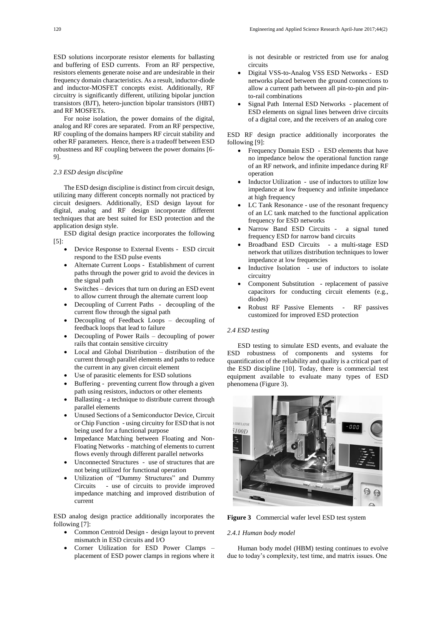ESD solutions incorporate resistor elements for ballasting and buffering of ESD currents. From an RF perspective, resistors elements generate noise and are undesirable in their frequency domain characteristics. As a result, inductor-diode and inductor-MOSFET concepts exist. Additionally, RF circuitry is significantly different, utilizing bipolar junction transistors (BJT), hetero-junction bipolar transistors (HBT) and RF MOSFETs.

 For noise isolation, the power domains of the digital, analog and RF cores are separated. From an RF perspective, RF coupling of the domains hampers RF circuit stability and other RF parameters. Hence, there is a tradeoff between ESD robustness and RF coupling between the power domains [6- 9].

### *2.3 ESD design discipline*

 The ESD design discipline is distinct from circuit design, utilizing many different concepts normally not practiced by circuit designers. Additionally, ESD design layout for digital, analog and RF design incorporate different techniques that are best suited for ESD protection and the application design style.

 ESD digital design practice incorporates the following [5]:

- Device Response to External Events ESD circuit respond to the ESD pulse events
- Alternate Current Loops Establishment of current paths through the power grid to avoid the devices in the signal path
- Switches devices that turn on during an ESD event to allow current through the alternate current loop
- Decoupling of Current Paths decoupling of the current flow through the signal path
- Decoupling of Feedback Loops decoupling of feedback loops that lead to failure
- Decoupling of Power Rails decoupling of power rails that contain sensitive circuitry
- Local and Global Distribution distribution of the current through parallel elements and paths to reduce the current in any given circuit element
- Use of parasitic elements for ESD solutions
- Buffering preventing current flow through a given path using resistors, inductors or other elements
- Ballasting a technique to distribute current through parallel elements
- Unused Sections of a Semiconductor Device, Circuit or Chip Function - using circuitry for ESD that is not being used for a functional purpose
- Impedance Matching between Floating and Non-Floating Networks - matching of elements to current flows evenly through different parallel networks
- Unconnected Structures use of structures that are not being utilized for functional operation
- Utilization of "Dummy Structures" and Dummy Circuits - use of circuits to provide improved impedance matching and improved distribution of current

ESD analog design practice additionally incorporates the following [7]:

- Common Centroid Design design layout to prevent mismatch in ESD circuits and I/O
- Corner Utilization for ESD Power Clamps placement of ESD power clamps in regions where it

is not desirable or restricted from use for analog circuits

- Digital VSS-to-Analog VSS ESD Networks ESD networks placed between the ground connections to allow a current path between all pin-to-pin and pinto-rail combinations
- Signal Path Internal ESD Networks placement of ESD elements on signal lines between drive circuits of a digital core, and the receivers of an analog core

ESD RF design practice additionally incorporates the following [9]:

- Frequency Domain ESD ESD elements that have no impedance below the operational function range of an RF network, and infinite impedance during RF operation
- Inductor Utilization use of inductors to utilize low impedance at low frequency and infinite impedance at high frequency
- LC Tank Resonance use of the resonant frequency of an LC tank matched to the functional application frequency for ESD networks
- Narrow Band ESD Circuits a signal tuned frequency ESD for narrow band circuits
- Broadband ESD Circuits a multi-stage ESD network that utilizes distribution techniques to lower impedance at low frequencies
- Inductive Isolation use of inductors to isolate circuitry
- Component Substitution replacement of passive capacitors for conducting circuit elements (e.g., diodes)
- Robust RF Passive Elements RF passives customized for improved ESD protection

### *2.4 ESD testing*

ESD testing to simulate ESD events, and evaluate the ESD robustness of components and systems for quantification of the reliability and quality is a critical part of the ESD discipline [10]. Today, there is commercial test equipment available to evaluate many types of ESD phenomena (Figure 3).



**Figure 3** Commercial wafer level ESD test system

# *2.4.1 Human body model*

 Human body model (HBM) testing continues to evolve due to today's complexity, test time, and matrix issues. One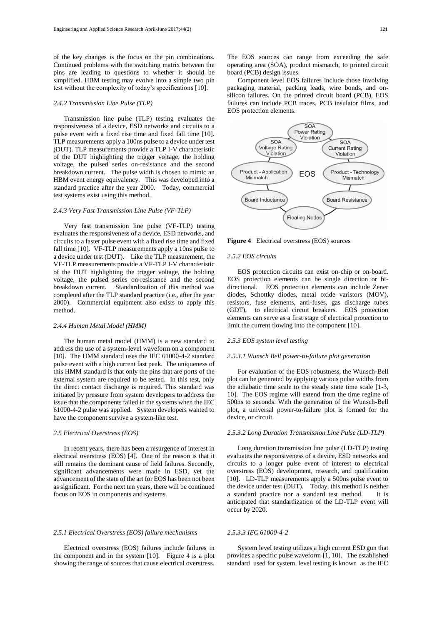of the key changes is the focus on the pin combinations. Continued problems with the switching matrix between the pins are leading to questions to whether it should be simplified. HBM testing may evolve into a simple two pin test without the complexity of today's specifications [10].

### *2.4.2 Transmission Line Pulse (TLP)*

 Transmission line pulse (TLP) testing evaluates the responsiveness of a device, ESD networks and circuits to a pulse event with a fixed rise time and fixed fall time [10]. TLP measurements apply a 100ns pulse to a device under test (DUT). TLP measurements provide a TLP I-V characteristic of the DUT highlighting the trigger voltage, the holding voltage, the pulsed series on-resistance and the second breakdown current. The pulse width is chosen to mimic an HBM event energy equivalency. This was developed into a standard practice after the year 2000. Today, commercial test systems exist using this method.

### *2.4.3 Very Fast Transmission Line Pulse (VF-TLP)*

Very fast transmission line pulse (VF-TLP) testing evaluates the responsiveness of a device, ESD networks, and circuits to a faster pulse event with a fixed rise time and fixed fall time [10]. VF-TLP measurements apply a 10ns pulse to a device under test (DUT). Like the TLP measurement, the VF-TLP measurements provide a VF-TLP I-V characteristic of the DUT highlighting the trigger voltage, the holding voltage, the pulsed series on-resistance and the second Standardization of this method was completed after the TLP standard practice (i.e., after the year 2000). Commercial equipment also exists to apply this method.

#### *2.4.4 Human Metal Model (HMM)*

 The human metal model (HMM) is a new standard to address the use of a system-level waveform on a component [10]. The HMM standard uses the IEC 61000-4-2 standard pulse event with a high current fast peak. The uniqueness of this HMM standard is that only the pins that are ports of the external system are required to be tested. In this test, only the direct contact discharge is required. This standard was initiated by pressure from system developers to address the issue that the components failed in the systems when the IEC 61000-4-2 pulse was applied. System developers wanted to have the component survive a system-like test.

# *2.5 Electrical Overstress (EOS)*

 In recent years, there has been a resurgence of interest in electrical overstress (EOS) [4]. One of the reason is that it still remains the dominant cause of field failures. Secondly, significant advancements were made in ESD, yet the advancement of the state of the art for EOS has been not been as significant. For the next ten years, there will be continued focus on EOS in components and systems.

### *2.5.1 Electrical Overstress (EOS) failure mechanisms*

 Electrical overstress (EOS) failures include failures in the component and in the system [10]. Figure 4 is a plot showing the range of sources that cause electrical overstress.

The EOS sources can range from exceeding the safe operating area (SOA), product mismatch, to printed circuit board (PCB) design issues.

Component level EOS failures include those involving packaging material, packing leads, wire bonds, and onsilicon failures. On the printed circuit board (PCB), EOS failures can include PCB traces, PCB insulator films, and EOS protection elements.



**Figure 4** Electrical overstress (EOS) sources

#### *2.5.2 EOS circuits*

 EOS protection circuits can exist on-chip or on-board. EOS protection elements can be single direction or bidirectional. EOS protection elements can include Zener diodes, Schottky diodes, metal oxide varistors (MOV), resistors, fuse elements, anti-fuses, gas discharge tubes (GDT), to electrical circuit breakers. EOS protection elements can serve as a first stage of electrical protection to limit the current flowing into the component [10].

#### *2.5.3 EOS system level testing*

#### *2.5.3.1 Wunsch Bell power-to-failure plot generation*

 For evaluation of the EOS robustness, the Wunsch-Bell plot can be generated by applying various pulse widths from the adiabatic time scale to the steady state time scale [1-3, 10]. The EOS regime will extend from the time regime of 500ns to seconds. With the generation of the Wunsch-Bell plot, a universal power-to-failure plot is formed for the device, or circuit.

# *2.5.3.2 Long Duration Transmission Line Pulse (LD-TLP)*

 Long duration transmission line pulse (LD-TLP) testing evaluates the responsiveness of a device, ESD networks and circuits to a longer pulse event of interest to electrical overstress (EOS) development, research, and qualification [10]. LD-TLP measurements apply a 500ns pulse event to the device under test (DUT). Today, this method is neither a standard practice nor a standard test method. It is anticipated that standardization of the LD-TLP event will occur by 2020.

### *2.5.3.3 IEC 61000-4-2*

 System level testing utilizes a high current ESD gun that provides a specific pulse waveform [1, 10]. The established standard used for system level testing is known as the IEC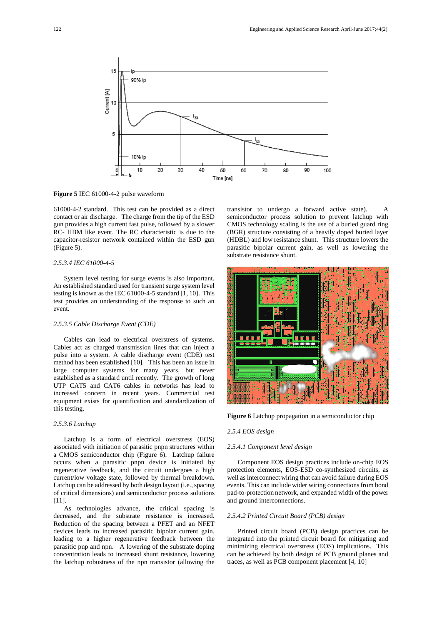

**Figure 5** IEC 61000-4-2 pulse waveform

61000-4-2 standard. This test can be provided as a direct contact or air discharge. The charge from the tip of the ESD gun provides a high current fast pulse, followed by a slower RC- HBM like event. The RC characteristic is due to the capacitor-resistor network contained within the ESD gun (Figure 5).

# *2.5.3.4 IEC 61000-4-5*

 System level testing for surge events is also important. An established standard used for transient surge system level testing is known as the IEC 61000-4-5 standard [1, 10]. This test provides an understanding of the response to such an event.

### *2.5.3.5 Cable Discharge Event (CDE)*

 Cables can lead to electrical overstress of systems. Cables act as charged transmission lines that can inject a pulse into a system. A cable discharge event (CDE) test method has been established [10]. This has been an issue in large computer systems for many years, but never established as a standard until recently. The growth of long UTP CAT5 and CAT6 cables in networks has lead to increased concern in recent years. Commercial test equipment exists for quantification and standardization of this testing.

### *2.5.3.6 Latchup*

Latchup is a form of electrical overstress (EOS) associated with initiation of parasitic pnpn structures within a CMOS semiconductor chip (Figure 6). Latchup failure occurs when a parasitic pnpn device is initiated by regenerative feedback, and the circuit undergoes a high current/low voltage state, followed by thermal breakdown. Latchup can be addressed by both design layout (i.e., spacing of critical dimensions) and semiconductor process solutions [11].

 As technologies advance, the critical spacing is decreased, and the substrate resistance is increased. Reduction of the spacing between a PFET and an NFET devices leads to increased parasitic bipolar current gain, leading to a higher regenerative feedback between the parasitic pnp and npn. A lowering of the substrate doping concentration leads to increased shunt resistance, lowering the latchup robustness of the npn transistor (allowing the transistor to undergo a forward active state). A semiconductor process solution to prevent latchup with CMOS technology scaling is the use of a buried guard ring (BGR) structure consisting of a heavily doped buried layer (HDBL) and low resistance shunt. This structure lowers the parasitic bipolar current gain, as well as lowering the substrate resistance shunt.



**Figure 6** Latchup propagation in a semiconductor chip

#### *2.5.4 EOS design*

### *2.5.4.1 Component level design*

Component EOS design practices include on-chip EOS protection elements, EOS-ESD co-synthesized circuits, as well as interconnect wiring that can avoid failure during EOS events. This can include wider wiring connections from bond pad-to-protection network, and expanded width of the power and ground interconnections.

## *2.5.4.2 Printed Circuit Board (PCB) design*

 Printed circuit board (PCB) design practices can be integrated into the printed circuit board for mitigating and minimizing electrical overstress (EOS) implications. This can be achieved by both design of PCB ground planes and traces, as well as PCB component placement [4, 10]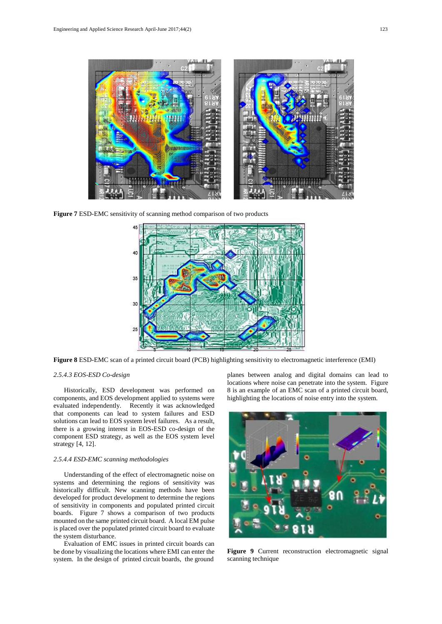

**Figure 7** ESD-EMC sensitivity of scanning method comparison of two products



**Figure 8** ESD-EMC scan of a printed circuit board (PCB) highlighting sensitivity to electromagnetic interference (EMI)

### *2.5.4.3 EOS-ESD Co-design*

 Historically, ESD development was performed on components, and EOS development applied to systems were evaluated independently. Recently it was acknowledged that components can lead to system failures and ESD solutions can lead to EOS system level failures. As a result, there is a growing interest in EOS-ESD co-design of the component ESD strategy, as well as the EOS system level strategy [4, 12].

## *2.5.4.4 ESD-EMC scanning methodologies*

 Understanding of the effect of electromagnetic noise on systems and determining the regions of sensitivity was historically difficult. New scanning methods have been developed for product development to determine the regions of sensitivity in components and populated printed circuit boards. Figure 7 shows a comparison of two products mounted on the same printed circuit board. A local EM pulse is placed over the populated printed circuit board to evaluate the system disturbance.

Evaluation of EMC issues in printed circuit boards can be done by visualizing the locations where EMI can enter the system. In the design of printed circuit boards, the ground

planes between analog and digital domains can lead to locations where noise can penetrate into the system. Figure 8 is an example of an EMC scan of a printed circuit board, highlighting the locations of noise entry into the system.



**Figure 9** Current reconstruction electromagnetic signal scanning technique